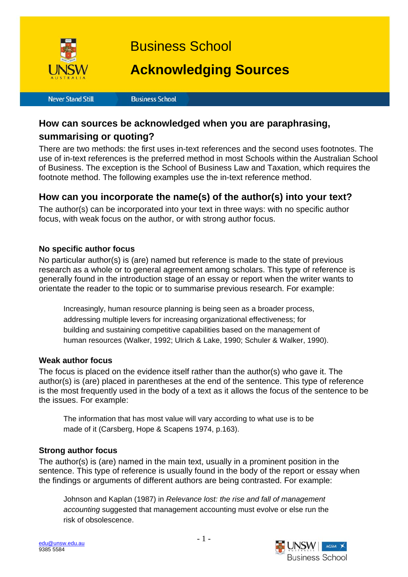

**Never Stand Still** 

**Business School** 

### **How can sources be acknowledged when you are paraphrasing,**

## **summarising or quoting?**

There are two methods: the first uses in-text references and the second uses footnotes. The use of in-text references is the preferred method in most Schools within the Australian School of Business. The exception is the School of Business Law and Taxation, which requires the footnote method. The following examples use the in-text reference method.

## **How can you incorporate the name(s) of the author(s) into your text?**

The author(s) can be incorporated into your text in three ways: with no specific author focus, with weak focus on the author, or with strong author focus.

### **No specific author focus**

No particular author(s) is (are) named but reference is made to the state of previous research as a whole or to general agreement among scholars. This type of reference is generally found in the introduction stage of an essay or report when the writer wants to orientate the reader to the topic or to summarise previous research. For example:

Increasingly, human resource planning is being seen as a broader process, addressing multiple levers for increasing organizational effectiveness; for building and sustaining competitive capabilities based on the management of human resources (Walker, 1992; Ulrich & Lake, 1990; Schuler & Walker, 1990).

#### **Weak author focus**

The focus is placed on the evidence itself rather than the author(s) who gave it. The author(s) is (are) placed in parentheses at the end of the sentence. This type of reference is the most frequently used in the body of a text as it allows the focus of the sentence to be the issues. For example:

The information that has most value will vary according to what use is to be made of it (Carsberg, Hope & Scapens 1974, p.163).

#### **Strong author focus**

The author(s) is (are) named in the main text, usually in a prominent position in the sentence. This type of reference is usually found in the body of the report or essay when the findings or arguments of different authors are being contrasted. For example:

Johnson and Kaplan (1987) in *Relevance lost: the rise and fall of management accounting* suggested that management accounting must evolve or else run the risk of obsolescence.

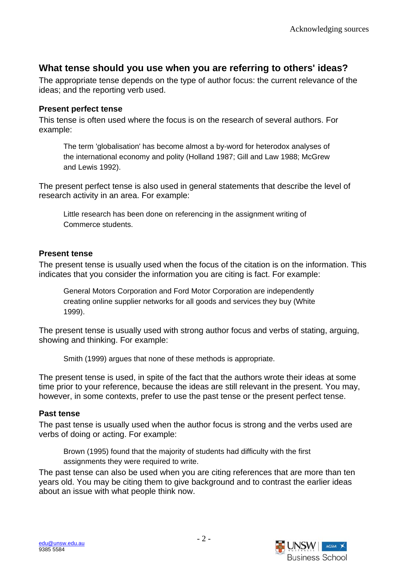# **What tense should you use when you are referring to others' ideas?**

The appropriate tense depends on the type of author focus: the current relevance of the ideas; and the reporting verb used.

#### **Present perfect tense**

This tense is often used where the focus is on the research of several authors. For example:

The term 'globalisation' has become almost a by-word for heterodox analyses of the international economy and polity (Holland 1987; Gill and Law 1988; McGrew and Lewis 1992).

The present perfect tense is also used in general statements that describe the level of research activity in an area. For example:

Little research has been done on referencing in the assignment writing of Commerce students.

### **Present tense**

The present tense is usually used when the focus of the citation is on the information. This indicates that you consider the information you are citing is fact. For example:

General Motors Corporation and Ford Motor Corporation are independently creating online supplier networks for all goods and services they buy (White 1999).

The present tense is usually used with strong author focus and verbs of stating, arguing, showing and thinking. For example:

Smith (1999) argues that none of these methods is appropriate.

The present tense is used, in spite of the fact that the authors wrote their ideas at some time prior to your reference, because the ideas are still relevant in the present. You may, however, in some contexts, prefer to use the past tense or the present perfect tense.

### **Past tense**

The past tense is usually used when the author focus is strong and the verbs used are verbs of doing or acting. For example:

Brown (1995) found that the majority of students had difficulty with the first assignments they were required to write.

The past tense can also be used when you are citing references that are more than ten years old. You may be citing them to give background and to contrast the earlier ideas about an issue with what people think now.

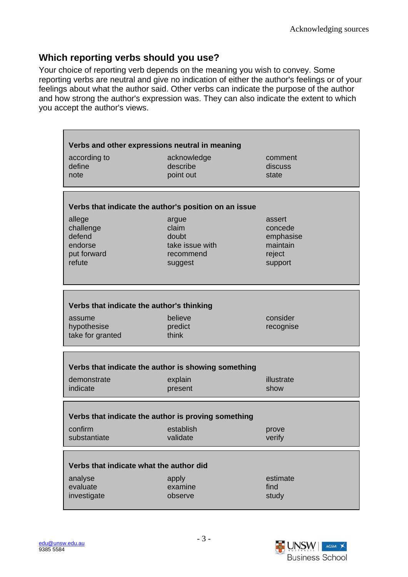# **Which reporting verbs should you use?**

Your choice of reporting verb depends on the meaning you wish to convey. Some reporting verbs are neutral and give no indication of either the author's feelings or of your feelings about what the author said. Other verbs can indicate the purpose of the author and how strong the author's expression was. They can also indicate the extent to which you accept the author's views.

| Verbs and other expressions neutral in meaning                    |                                                                    |                                                                 |
|-------------------------------------------------------------------|--------------------------------------------------------------------|-----------------------------------------------------------------|
| according to<br>define<br>note                                    | acknowledge<br>describe<br>point out                               | comment<br>discuss<br>state                                     |
| Verbs that indicate the author's position on an issue             |                                                                    |                                                                 |
| allege<br>challenge<br>defend<br>endorse<br>put forward<br>refute | argue<br>claim<br>doubt<br>take issue with<br>recommend<br>suggest | assert<br>concede<br>emphasise<br>maintain<br>reject<br>support |
| Verbs that indicate the author's thinking                         |                                                                    |                                                                 |
| assume<br>hypothesise<br>take for granted                         | believe<br>predict<br>think                                        | consider<br>recognise                                           |
| Verbs that indicate the author is showing something               |                                                                    |                                                                 |
| demonstrate<br>indicate                                           | explain<br>present                                                 | illustrate<br>show                                              |
| Verbs that indicate the author is proving something               |                                                                    |                                                                 |
| confirm<br>substantiate                                           | establish<br>validate                                              | prove<br>verify                                                 |
| Verbs that indicate what the author did                           |                                                                    |                                                                 |
| analyse<br>evaluate<br>investigate                                | apply<br>examine<br>observe                                        | estimate<br>find<br>study                                       |